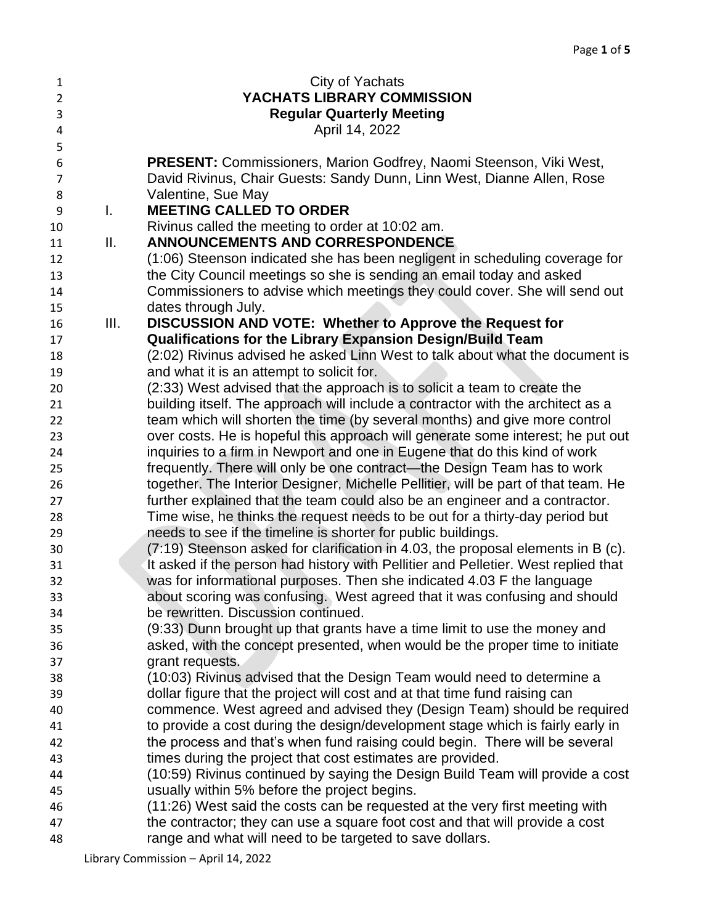| 1              |                | City of Yachats                                                                    |
|----------------|----------------|------------------------------------------------------------------------------------|
| $\overline{2}$ |                | YACHATS LIBRARY COMMISSION                                                         |
| 3              |                | <b>Regular Quarterly Meeting</b>                                                   |
| 4              |                | April 14, 2022                                                                     |
| 5              |                |                                                                                    |
| 6              |                | <b>PRESENT:</b> Commissioners, Marion Godfrey, Naomi Steenson, Viki West,          |
| $\overline{7}$ |                | David Rivinus, Chair Guests: Sandy Dunn, Linn West, Dianne Allen, Rose             |
| 8              |                | Valentine, Sue May                                                                 |
| 9              | $\mathsf{I}$ . | <b>MEETING CALLED TO ORDER</b>                                                     |
| 10             |                | Rivinus called the meeting to order at 10:02 am.                                   |
| 11             | II.            | <b>ANNOUNCEMENTS AND CORRESPONDENCE</b>                                            |
| 12             |                | (1:06) Steenson indicated she has been negligent in scheduling coverage for        |
| 13             |                | the City Council meetings so she is sending an email today and asked               |
| 14             |                | Commissioners to advise which meetings they could cover. She will send out         |
| 15             |                | dates through July.                                                                |
| 16             | III.           | DISCUSSION AND VOTE: Whether to Approve the Request for                            |
| 17             |                | <b>Qualifications for the Library Expansion Design/Build Team</b>                  |
| 18             |                | (2:02) Rivinus advised he asked Linn West to talk about what the document is       |
| 19             |                | and what it is an attempt to solicit for.                                          |
| 20             |                | (2:33) West advised that the approach is to solicit a team to create the           |
| 21             |                | building itself. The approach will include a contractor with the architect as a    |
| 22             |                | team which will shorten the time (by several months) and give more control         |
| 23             |                | over costs. He is hopeful this approach will generate some interest; he put out    |
| 24             |                | inquiries to a firm in Newport and one in Eugene that do this kind of work         |
| 25             |                | frequently. There will only be one contract—the Design Team has to work            |
| 26             |                | together. The Interior Designer, Michelle Pellitier, will be part of that team. He |
| 27             |                | further explained that the team could also be an engineer and a contractor.        |
| 28             |                | Time wise, he thinks the request needs to be out for a thirty-day period but       |
| 29             |                | needs to see if the timeline is shorter for public buildings.                      |
| 30             |                | (7:19) Steenson asked for clarification in 4.03, the proposal elements in B (c).   |
| 31             |                | It asked if the person had history with Pellitier and Pelletier. West replied that |
| 32             |                | was for informational purposes. Then she indicated 4.03 F the language             |
| 33             |                | about scoring was confusing. West agreed that it was confusing and should          |
| 34             |                | be rewritten. Discussion continued.                                                |
| 35             |                | (9:33) Dunn brought up that grants have a time limit to use the money and          |
| 36             |                | asked, with the concept presented, when would be the proper time to initiate       |
| 37             |                | grant requests.                                                                    |
| 38             |                | (10:03) Rivinus advised that the Design Team would need to determine a             |
| 39             |                | dollar figure that the project will cost and at that time fund raising can         |
| 40             |                | commence. West agreed and advised they (Design Team) should be required            |
| 41             |                | to provide a cost during the design/development stage which is fairly early in     |
| 42             |                | the process and that's when fund raising could begin. There will be several        |
| 43             |                | times during the project that cost estimates are provided.                         |
| 44             |                | (10:59) Rivinus continued by saying the Design Build Team will provide a cost      |
| 45             |                | usually within 5% before the project begins.                                       |
| 46             |                | (11:26) West said the costs can be requested at the very first meeting with        |
| 47             |                | the contractor; they can use a square foot cost and that will provide a cost       |
| 48             |                | range and what will need to be targeted to save dollars.                           |

Library Commission – April 14, 2022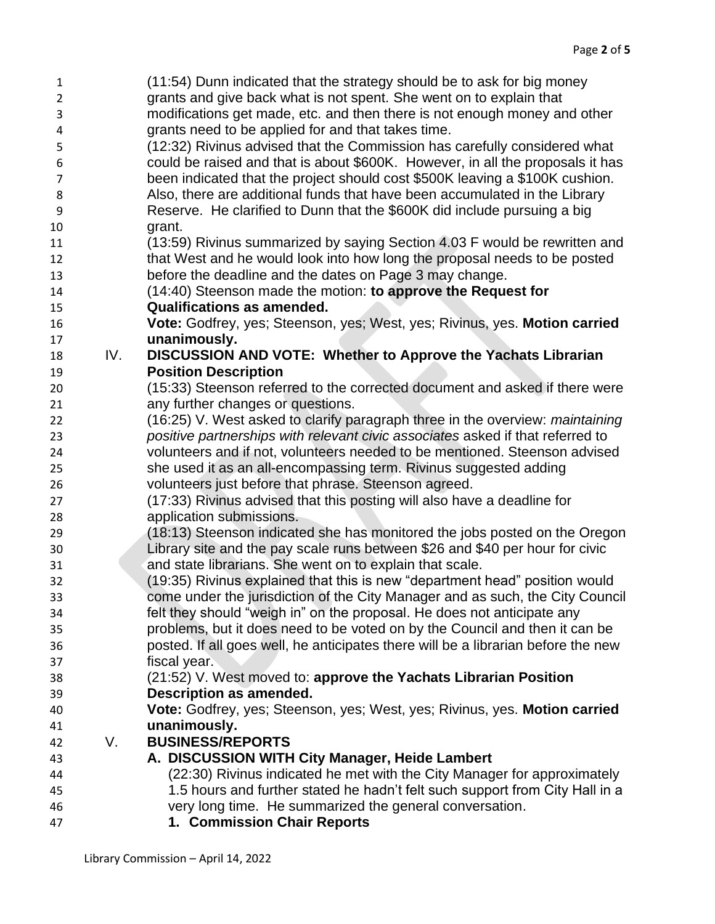| 1              |     | (11:54) Dunn indicated that the strategy should be to ask for big money                                                         |
|----------------|-----|---------------------------------------------------------------------------------------------------------------------------------|
| $\overline{2}$ |     | grants and give back what is not spent. She went on to explain that                                                             |
| 3              |     | modifications get made, etc. and then there is not enough money and other                                                       |
| 4              |     | grants need to be applied for and that takes time.                                                                              |
| 5              |     | (12:32) Rivinus advised that the Commission has carefully considered what                                                       |
| 6              |     | could be raised and that is about \$600K. However, in all the proposals it has                                                  |
| 7              |     | been indicated that the project should cost \$500K leaving a \$100K cushion.                                                    |
| 8              |     | Also, there are additional funds that have been accumulated in the Library                                                      |
| 9              |     | Reserve. He clarified to Dunn that the \$600K did include pursuing a big                                                        |
| 10             |     | grant.                                                                                                                          |
| 11             |     | (13:59) Rivinus summarized by saying Section 4.03 F would be rewritten and                                                      |
| 12             |     | that West and he would look into how long the proposal needs to be posted                                                       |
| 13             |     | before the deadline and the dates on Page 3 may change.                                                                         |
| 14             |     | (14:40) Steenson made the motion: to approve the Request for                                                                    |
| 15             |     | <b>Qualifications as amended.</b>                                                                                               |
| 16             |     | Vote: Godfrey, yes; Steenson, yes; West, yes; Rivinus, yes. Motion carried                                                      |
| 17             |     | unanimously.                                                                                                                    |
| 18             | IV. | DISCUSSION AND VOTE: Whether to Approve the Yachats Librarian                                                                   |
| 19             |     | <b>Position Description</b>                                                                                                     |
| 20             |     | (15:33) Steenson referred to the corrected document and asked if there were                                                     |
| 21             |     | any further changes or questions.                                                                                               |
| 22             |     | (16:25) V. West asked to clarify paragraph three in the overview: maintaining                                                   |
| 23             |     | positive partnerships with relevant civic associates asked if that referred to                                                  |
| 24             |     | volunteers and if not, volunteers needed to be mentioned. Steenson advised                                                      |
| 25             |     | she used it as an all-encompassing term. Rivinus suggested adding                                                               |
| 26             |     | volunteers just before that phrase. Steenson agreed.<br>(17:33) Rivinus advised that this posting will also have a deadline for |
| 27<br>28       |     | application submissions.                                                                                                        |
| 29             |     | (18:13) Steenson indicated she has monitored the jobs posted on the Oregon                                                      |
| 30             |     | Library site and the pay scale runs between \$26 and \$40 per hour for civic                                                    |
| 31             |     | and state librarians. She went on to explain that scale.                                                                        |
| 32             |     | (19:35) Rivinus explained that this is new "department head" position would                                                     |
| 33             |     | come under the jurisdiction of the City Manager and as such, the City Council                                                   |
| 34             |     | felt they should "weigh in" on the proposal. He does not anticipate any                                                         |
| 35             |     | problems, but it does need to be voted on by the Council and then it can be                                                     |
| 36             |     | posted. If all goes well, he anticipates there will be a librarian before the new                                               |
| 37             |     | fiscal year.                                                                                                                    |
| 38             |     | (21:52) V. West moved to: approve the Yachats Librarian Position                                                                |
| 39             |     | Description as amended.                                                                                                         |
| 40             |     | Vote: Godfrey, yes; Steenson, yes; West, yes; Rivinus, yes. Motion carried                                                      |
| 41             |     | unanimously.                                                                                                                    |
| 42             | V.  | <b>BUSINESS/REPORTS</b>                                                                                                         |
| 43             |     | A. DISCUSSION WITH City Manager, Heide Lambert                                                                                  |
| 44             |     | (22:30) Rivinus indicated he met with the City Manager for approximately                                                        |
| 45             |     | 1.5 hours and further stated he hadn't felt such support from City Hall in a                                                    |
| 46             |     | very long time. He summarized the general conversation.                                                                         |
| 47             |     | 1. Commission Chair Reports                                                                                                     |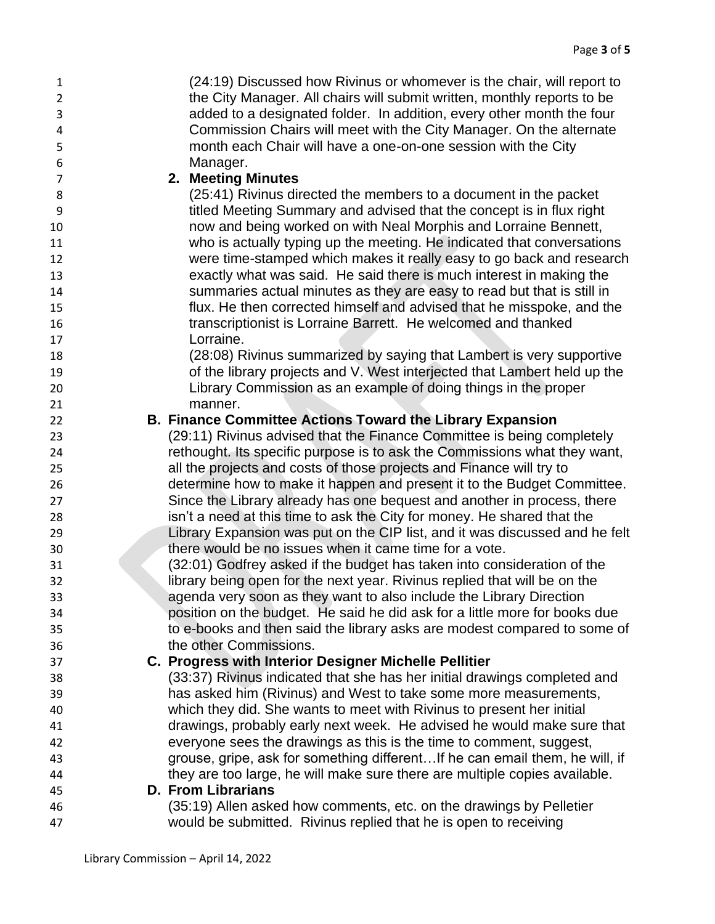| $\mathbf{1}$   | (24:19) Discussed how Rivinus or whomever is the chair, will report to                                                                             |
|----------------|----------------------------------------------------------------------------------------------------------------------------------------------------|
| $\overline{2}$ | the City Manager. All chairs will submit written, monthly reports to be                                                                            |
| 3              | added to a designated folder. In addition, every other month the four                                                                              |
| 4              | Commission Chairs will meet with the City Manager. On the alternate                                                                                |
| 5              | month each Chair will have a one-on-one session with the City                                                                                      |
| 6              | Manager.                                                                                                                                           |
| $\overline{7}$ | 2. Meeting Minutes                                                                                                                                 |
| 8              | (25:41) Rivinus directed the members to a document in the packet                                                                                   |
| 9              | titled Meeting Summary and advised that the concept is in flux right                                                                               |
| 10             | now and being worked on with Neal Morphis and Lorraine Bennett,                                                                                    |
| 11             | who is actually typing up the meeting. He indicated that conversations                                                                             |
| 12             | were time-stamped which makes it really easy to go back and research                                                                               |
| 13             | exactly what was said. He said there is much interest in making the                                                                                |
| 14             | summaries actual minutes as they are easy to read but that is still in                                                                             |
| 15             | flux. He then corrected himself and advised that he misspoke, and the                                                                              |
| 16             | transcriptionist is Lorraine Barrett. He welcomed and thanked                                                                                      |
| 17             | Lorraine.                                                                                                                                          |
| 18             | (28:08) Rivinus summarized by saying that Lambert is very supportive                                                                               |
| 19             | of the library projects and V. West interjected that Lambert held up the                                                                           |
| 20             | Library Commission as an example of doing things in the proper                                                                                     |
| 21             | manner.                                                                                                                                            |
| 22             | <b>B. Finance Committee Actions Toward the Library Expansion</b>                                                                                   |
| 23             | (29:11) Rivinus advised that the Finance Committee is being completely                                                                             |
| 24             | rethought. Its specific purpose is to ask the Commissions what they want,                                                                          |
| 25             | all the projects and costs of those projects and Finance will try to                                                                               |
| 26             | determine how to make it happen and present it to the Budget Committee.                                                                            |
| 27<br>28       | Since the Library already has one bequest and another in process, there<br>isn't a need at this time to ask the City for money. He shared that the |
| 29             | Library Expansion was put on the CIP list, and it was discussed and he felt                                                                        |
| 30             | there would be no issues when it came time for a vote.                                                                                             |
| 31             | (32:01) Godfrey asked if the budget has taken into consideration of the                                                                            |
| 32             | library being open for the next year. Rivinus replied that will be on the                                                                          |
| 33             | agenda very soon as they want to also include the Library Direction                                                                                |
| 34             | position on the budget. He said he did ask for a little more for books due                                                                         |
| 35             | to e-books and then said the library asks are modest compared to some of                                                                           |
| 36             | the other Commissions.                                                                                                                             |
| 37             | C. Progress with Interior Designer Michelle Pellitier                                                                                              |
| 38             | (33:37) Rivinus indicated that she has her initial drawings completed and                                                                          |
| 39             | has asked him (Rivinus) and West to take some more measurements,                                                                                   |
| 40             | which they did. She wants to meet with Rivinus to present her initial                                                                              |
| 41             | drawings, probably early next week. He advised he would make sure that                                                                             |
| 42             | everyone sees the drawings as this is the time to comment, suggest,                                                                                |
| 43             | grouse, gripe, ask for something differentIf he can email them, he will, if                                                                        |
| 44             | they are too large, he will make sure there are multiple copies available.                                                                         |
| 45             | <b>D. From Librarians</b>                                                                                                                          |
| 46             | (35:19) Allen asked how comments, etc. on the drawings by Pelletier                                                                                |
| 47             | would be submitted. Rivinus replied that he is open to receiving                                                                                   |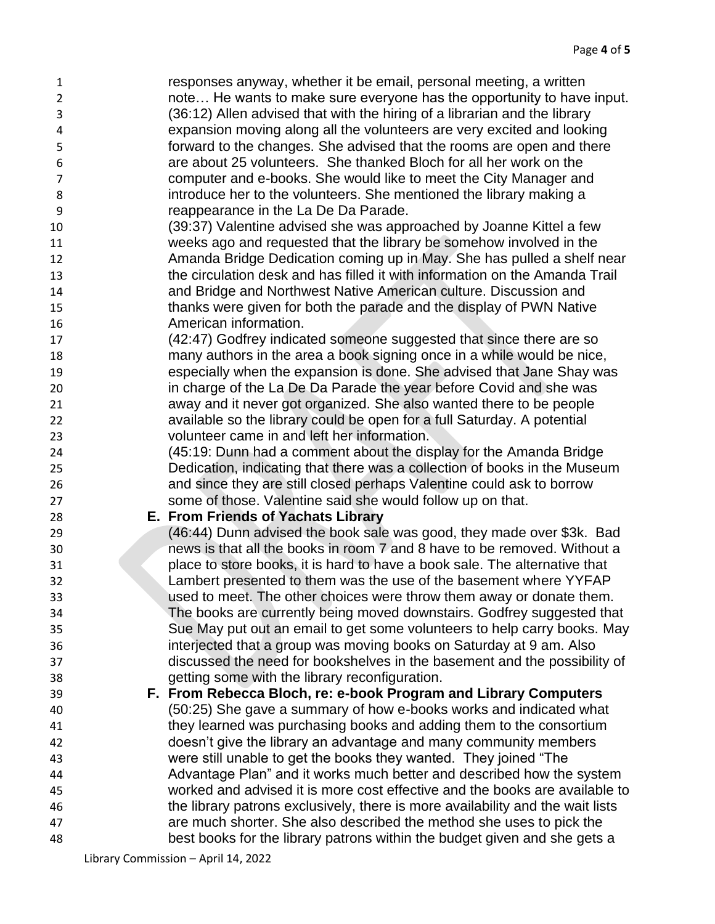responses anyway, whether it be email, personal meeting, a written note… He wants to make sure everyone has the opportunity to have input. (36:12) Allen advised that with the hiring of a librarian and the library expansion moving along all the volunteers are very excited and looking forward to the changes. She advised that the rooms are open and there are about 25 volunteers. She thanked Bloch for all her work on the computer and e-books. She would like to meet the City Manager and introduce her to the volunteers. She mentioned the library making a reappearance in the La De Da Parade. (39:37) Valentine advised she was approached by Joanne Kittel a few weeks ago and requested that the library be somehow involved in the Amanda Bridge Dedication coming up in May. She has pulled a shelf near the circulation desk and has filled it with information on the Amanda Trail and Bridge and Northwest Native American culture. Discussion and thanks were given for both the parade and the display of PWN Native American information. (42:47) Godfrey indicated someone suggested that since there are so many authors in the area a book signing once in a while would be nice, especially when the expansion is done. She advised that Jane Shay was in charge of the La De Da Parade the year before Covid and she was away and it never got organized. She also wanted there to be people available so the library could be open for a full Saturday. A potential volunteer came in and left her information. (45:19: Dunn had a comment about the display for the Amanda Bridge Dedication, indicating that there was a collection of books in the Museum and since they are still closed perhaps Valentine could ask to borrow some of those. Valentine said she would follow up on that. **E. From Friends of Yachats Library** (46:44) Dunn advised the book sale was good, they made over \$3k. Bad news is that all the books in room 7 and 8 have to be removed. Without a place to store books, it is hard to have a book sale. The alternative that Lambert presented to them was the use of the basement where YYFAP used to meet. The other choices were throw them away or donate them. The books are currently being moved downstairs. Godfrey suggested that Sue May put out an email to get some volunteers to help carry books. May interjected that a group was moving books on Saturday at 9 am. Also discussed the need for bookshelves in the basement and the possibility of getting some with the library reconfiguration. **F. From Rebecca Bloch, re: e-book Program and Library Computers** (50:25) She gave a summary of how e-books works and indicated what they learned was purchasing books and adding them to the consortium doesn't give the library an advantage and many community members were still unable to get the books they wanted. They joined "The Advantage Plan" and it works much better and described how the system worked and advised it is more cost effective and the books are available to the library patrons exclusively, there is more availability and the wait lists are much shorter. She also described the method she uses to pick the best books for the library patrons within the budget given and she gets a